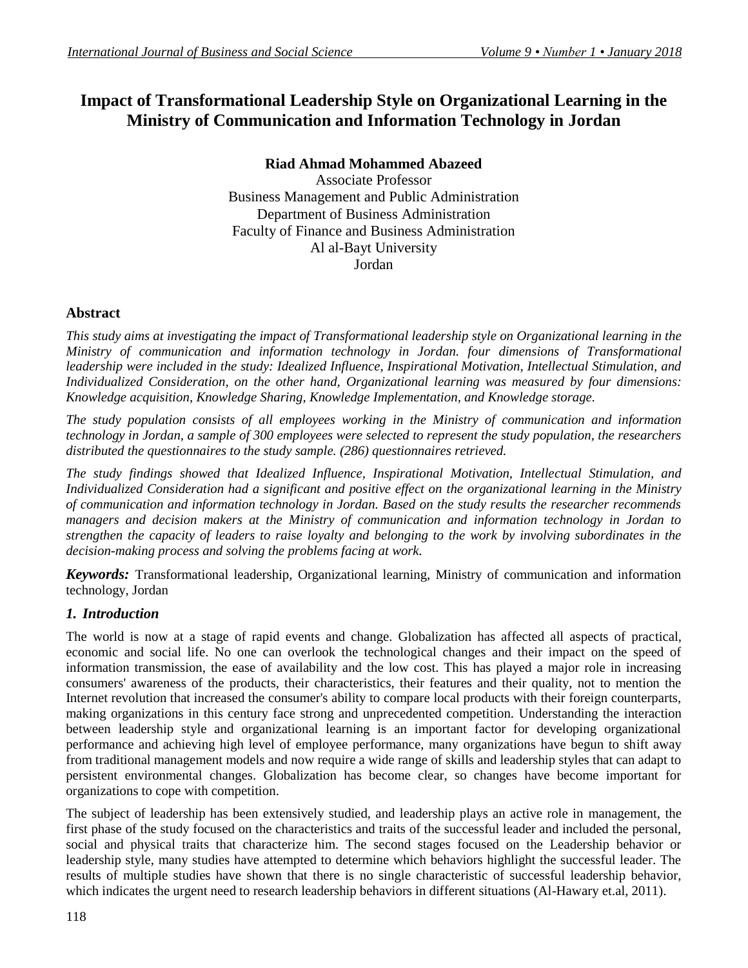# **Impact of Transformational Leadership Style on Organizational Learning in the Ministry of Communication and Information Technology in Jordan**

## **Riad Ahmad Mohammed Abazeed**

Associate Professor Business Management and Public Administration Department of Business Administration Faculty of Finance and Business Administration Al al-Bayt University Jordan

## **Abstract**

*This study aims at investigating the impact of Transformational leadership style on Organizational learning in the Ministry of communication and information technology in Jordan. four dimensions of Transformational leadership were included in the study: Idealized Influence, Inspirational Motivation, Intellectual Stimulation, and Individualized Consideration, on the other hand, Organizational learning was measured by four dimensions: Knowledge acquisition, Knowledge Sharing, Knowledge Implementation, and Knowledge storage.*

*The study population consists of all employees working in the Ministry of communication and information technology in Jordan, a sample of 300 employees were selected to represent the study population, the researchers distributed the questionnaires to the study sample. (286) questionnaires retrieved.*

*The study findings showed that Idealized Influence, Inspirational Motivation, Intellectual Stimulation, and Individualized Consideration had a significant and positive effect on the organizational learning in the Ministry of communication and information technology in Jordan. Based on the study results the researcher recommends managers and decision makers at the Ministry of communication and information technology in Jordan to strengthen the capacity of leaders to raise loyalty and belonging to the work by involving subordinates in the decision-making process and solving the problems facing at work.*

*Keywords:* Transformational leadership, Organizational learning, Ministry of communication and information technology, Jordan

# *1. Introduction*

The world is now at a stage of rapid events and change. Globalization has affected all aspects of practical, economic and social life. No one can overlook the technological changes and their impact on the speed of information transmission, the ease of availability and the low cost. This has played a major role in increasing consumers' awareness of the products, their characteristics, their features and their quality, not to mention the Internet revolution that increased the consumer's ability to compare local products with their foreign counterparts, making organizations in this century face strong and unprecedented competition. Understanding the interaction between leadership style and organizational learning is an important factor for developing organizational performance and achieving high level of employee performance, many organizations have begun to shift away from traditional management models and now require a wide range of skills and leadership styles that can adapt to persistent environmental changes. Globalization has become clear, so changes have become important for organizations to cope with competition.

The subject of leadership has been extensively studied, and leadership plays an active role in management, the first phase of the study focused on the characteristics and traits of the successful leader and included the personal, social and physical traits that characterize him. The second stages focused on the Leadership behavior or leadership style, many studies have attempted to determine which behaviors highlight the successful leader. The results of multiple studies have shown that there is no single characteristic of successful leadership behavior, which indicates the urgent need to research leadership behaviors in different situations (Al-Hawary et.al, 2011).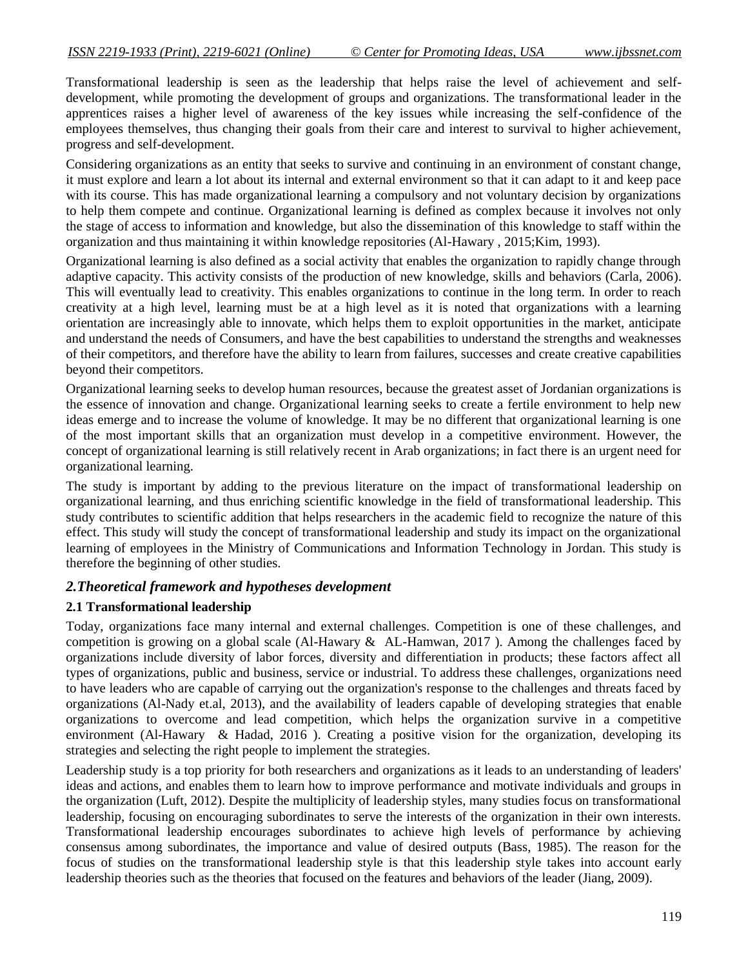Transformational leadership is seen as the leadership that helps raise the level of achievement and selfdevelopment, while promoting the development of groups and organizations. The transformational leader in the apprentices raises a higher level of awareness of the key issues while increasing the self-confidence of the employees themselves, thus changing their goals from their care and interest to survival to higher achievement, progress and self-development.

Considering organizations as an entity that seeks to survive and continuing in an environment of constant change, it must explore and learn a lot about its internal and external environment so that it can adapt to it and keep pace with its course. This has made organizational learning a compulsory and not voluntary decision by organizations to help them compete and continue. Organizational learning is defined as complex because it involves not only the stage of access to information and knowledge, but also the dissemination of this knowledge to staff within the organization and thus maintaining it within knowledge repositories (Al-Hawary , 2015;Kim, 1993).

Organizational learning is also defined as a social activity that enables the organization to rapidly change through adaptive capacity. This activity consists of the production of new knowledge, skills and behaviors (Carla, 2006). This will eventually lead to creativity. This enables organizations to continue in the long term. In order to reach creativity at a high level, learning must be at a high level as it is noted that organizations with a learning orientation are increasingly able to innovate, which helps them to exploit opportunities in the market, anticipate and understand the needs of Consumers, and have the best capabilities to understand the strengths and weaknesses of their competitors, and therefore have the ability to learn from failures, successes and create creative capabilities beyond their competitors.

Organizational learning seeks to develop human resources, because the greatest asset of Jordanian organizations is the essence of innovation and change. Organizational learning seeks to create a fertile environment to help new ideas emerge and to increase the volume of knowledge. It may be no different that organizational learning is one of the most important skills that an organization must develop in a competitive environment. However, the concept of organizational learning is still relatively recent in Arab organizations; in fact there is an urgent need for organizational learning.

The study is important by adding to the previous literature on the impact of transformational leadership on organizational learning, and thus enriching scientific knowledge in the field of transformational leadership. This study contributes to scientific addition that helps researchers in the academic field to recognize the nature of this effect. This study will study the concept of transformational leadership and study its impact on the organizational learning of employees in the Ministry of Communications and Information Technology in Jordan. This study is therefore the beginning of other studies.

### *2.Theoretical framework and hypotheses development*

### **2.1 Transformational leadership**

Today, organizations face many internal and external challenges. Competition is one of these challenges, and competition is growing on a global scale (Al-Hawary  $\&$  AL-Hamwan, 2017). Among the challenges faced by organizations include diversity of labor forces, diversity and differentiation in products; these factors affect all types of organizations, public and business, service or industrial. To address these challenges, organizations need to have leaders who are capable of carrying out the organization's response to the challenges and threats faced by organizations (Al-Nady et.al, 2013), and the availability of leaders capable of developing strategies that enable organizations to overcome and lead competition, which helps the organization survive in a competitive environment (Al-Hawary & Hadad, 2016 ). Creating a positive vision for the organization, developing its strategies and selecting the right people to implement the strategies.

Leadership study is a top priority for both researchers and organizations as it leads to an understanding of leaders' ideas and actions, and enables them to learn how to improve performance and motivate individuals and groups in the organization (Luft, 2012). Despite the multiplicity of leadership styles, many studies focus on transformational leadership, focusing on encouraging subordinates to serve the interests of the organization in their own interests. Transformational leadership encourages subordinates to achieve high levels of performance by achieving consensus among subordinates, the importance and value of desired outputs (Bass, 1985). The reason for the focus of studies on the transformational leadership style is that this leadership style takes into account early leadership theories such as the theories that focused on the features and behaviors of the leader (Jiang, 2009).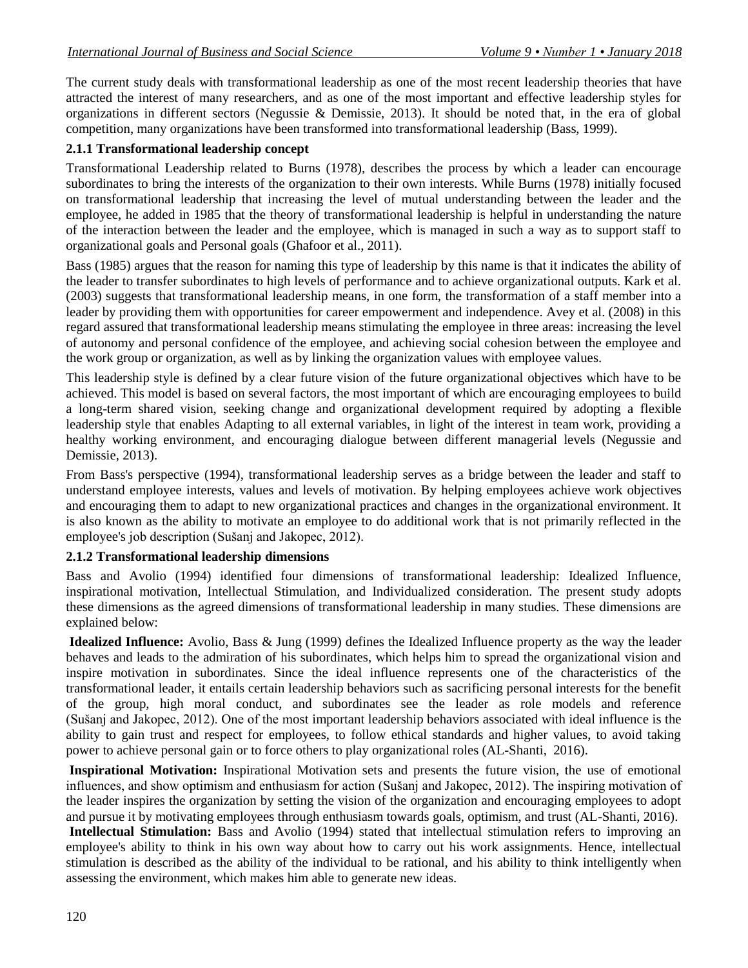The current study deals with transformational leadership as one of the most recent leadership theories that have attracted the interest of many researchers, and as one of the most important and effective leadership styles for organizations in different sectors (Negussie & Demissie, 2013). It should be noted that, in the era of global competition, many organizations have been transformed into transformational leadership (Bass, 1999).

## **2.1.1 Transformational leadership concept**

Transformational Leadership related to Burns (1978), describes the process by which a leader can encourage subordinates to bring the interests of the organization to their own interests. While Burns (1978) initially focused on transformational leadership that increasing the level of mutual understanding between the leader and the employee, he added in 1985 that the theory of transformational leadership is helpful in understanding the nature of the interaction between the leader and the employee, which is managed in such a way as to support staff to organizational goals and Personal goals (Ghafoor et al., 2011).

Bass (1985) argues that the reason for naming this type of leadership by this name is that it indicates the ability of the leader to transfer subordinates to high levels of performance and to achieve organizational outputs. Kark et al. (2003) suggests that transformational leadership means, in one form, the transformation of a staff member into a leader by providing them with opportunities for career empowerment and independence. Avey et al. (2008) in this regard assured that transformational leadership means stimulating the employee in three areas: increasing the level of autonomy and personal confidence of the employee, and achieving social cohesion between the employee and the work group or organization, as well as by linking the organization values with employee values.

This leadership style is defined by a clear future vision of the future organizational objectives which have to be achieved. This model is based on several factors, the most important of which are encouraging employees to build a long-term shared vision, seeking change and organizational development required by adopting a flexible leadership style that enables Adapting to all external variables, in light of the interest in team work, providing a healthy working environment, and encouraging dialogue between different managerial levels (Negussie and Demissie, 2013).

From Bass's perspective (1994), transformational leadership serves as a bridge between the leader and staff to understand employee interests, values and levels of motivation. By helping employees achieve work objectives and encouraging them to adapt to new organizational practices and changes in the organizational environment. It is also known as the ability to motivate an employee to do additional work that is not primarily reflected in the employee's job description (Sušanj and Jakopec, 2012).

### **2.1.2 Transformational leadership dimensions**

Bass and Avolio (1994) identified four dimensions of transformational leadership: Idealized Influence, inspirational motivation, Intellectual Stimulation, and Individualized consideration. The present study adopts these dimensions as the agreed dimensions of transformational leadership in many studies. These dimensions are explained below:

**Idealized Influence:** Avolio, Bass & Jung (1999) defines the Idealized Influence property as the way the leader behaves and leads to the admiration of his subordinates, which helps him to spread the organizational vision and inspire motivation in subordinates. Since the ideal influence represents one of the characteristics of the transformational leader, it entails certain leadership behaviors such as sacrificing personal interests for the benefit of the group, high moral conduct, and subordinates see the leader as role models and reference (Sušanj and Jakopec, 2012). One of the most important leadership behaviors associated with ideal influence is the ability to gain trust and respect for employees, to follow ethical standards and higher values, to avoid taking power to achieve personal gain or to force others to play organizational roles (AL-Shanti, 2016).

**Inspirational Motivation:** Inspirational Motivation sets and presents the future vision, the use of emotional influences, and show optimism and enthusiasm for action (Sušanj and Jakopec, 2012). The inspiring motivation of the leader inspires the organization by setting the vision of the organization and encouraging employees to adopt and pursue it by motivating employees through enthusiasm towards goals, optimism, and trust (AL-Shanti, 2016).

**Intellectual Stimulation:** Bass and Avolio (1994) stated that intellectual stimulation refers to improving an employee's ability to think in his own way about how to carry out his work assignments. Hence, intellectual stimulation is described as the ability of the individual to be rational, and his ability to think intelligently when assessing the environment, which makes him able to generate new ideas.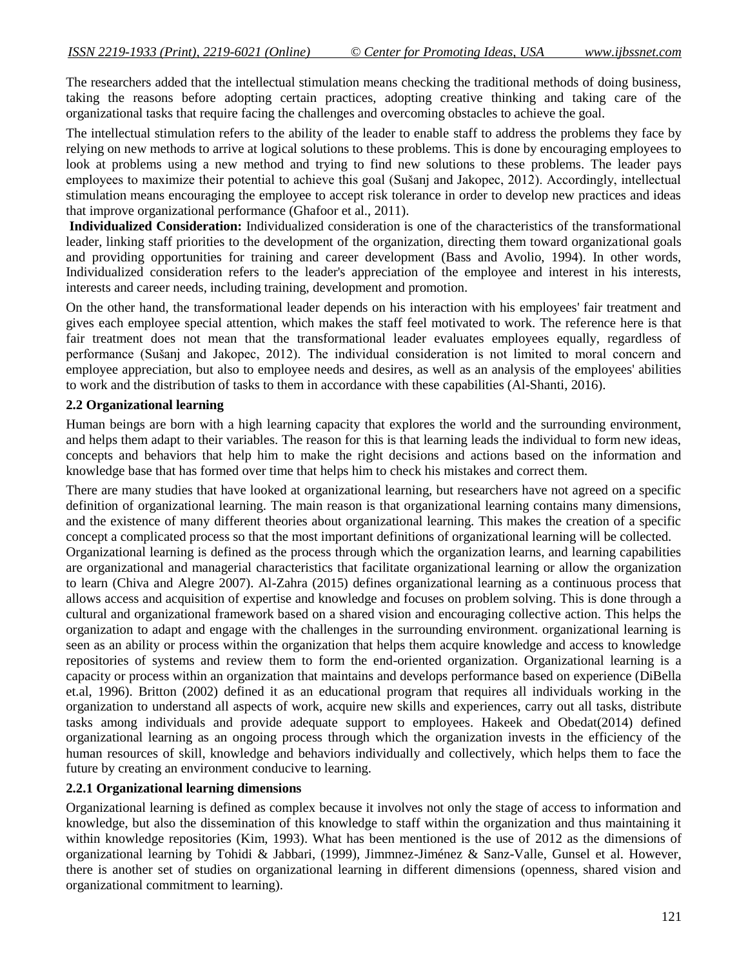The researchers added that the intellectual stimulation means checking the traditional methods of doing business, taking the reasons before adopting certain practices, adopting creative thinking and taking care of the organizational tasks that require facing the challenges and overcoming obstacles to achieve the goal.

The intellectual stimulation refers to the ability of the leader to enable staff to address the problems they face by relying on new methods to arrive at logical solutions to these problems. This is done by encouraging employees to look at problems using a new method and trying to find new solutions to these problems. The leader pays employees to maximize their potential to achieve this goal (Sušanj and Jakopec, 2012). Accordingly, intellectual stimulation means encouraging the employee to accept risk tolerance in order to develop new practices and ideas that improve organizational performance (Ghafoor et al., 2011).

**Individualized Consideration:** Individualized consideration is one of the characteristics of the transformational leader, linking staff priorities to the development of the organization, directing them toward organizational goals and providing opportunities for training and career development (Bass and Avolio, 1994). In other words, Individualized consideration refers to the leader's appreciation of the employee and interest in his interests, interests and career needs, including training, development and promotion.

On the other hand, the transformational leader depends on his interaction with his employees' fair treatment and gives each employee special attention, which makes the staff feel motivated to work. The reference here is that fair treatment does not mean that the transformational leader evaluates employees equally, regardless of performance (Sušanj and Jakopec, 2012). The individual consideration is not limited to moral concern and employee appreciation, but also to employee needs and desires, as well as an analysis of the employees' abilities to work and the distribution of tasks to them in accordance with these capabilities (Al-Shanti, 2016).

#### **2.2 Organizational learning**

Human beings are born with a high learning capacity that explores the world and the surrounding environment, and helps them adapt to their variables. The reason for this is that learning leads the individual to form new ideas, concepts and behaviors that help him to make the right decisions and actions based on the information and knowledge base that has formed over time that helps him to check his mistakes and correct them.

There are many studies that have looked at organizational learning, but researchers have not agreed on a specific definition of organizational learning. The main reason is that organizational learning contains many dimensions, and the existence of many different theories about organizational learning. This makes the creation of a specific concept a complicated process so that the most important definitions of organizational learning will be collected. Organizational learning is defined as the process through which the organization learns, and learning capabilities are organizational and managerial characteristics that facilitate organizational learning or allow the organization to learn (Chiva and Alegre 2007). Al-Zahra (2015) defines organizational learning as a continuous process that allows access and acquisition of expertise and knowledge and focuses on problem solving. This is done through a cultural and organizational framework based on a shared vision and encouraging collective action. This helps the organization to adapt and engage with the challenges in the surrounding environment. organizational learning is seen as an ability or process within the organization that helps them acquire knowledge and access to knowledge repositories of systems and review them to form the end-oriented organization. Organizational learning is a capacity or process within an organization that maintains and develops performance based on experience (DiBella et.al, 1996). Britton (2002) defined it as an educational program that requires all individuals working in the organization to understand all aspects of work, acquire new skills and experiences, carry out all tasks, distribute tasks among individuals and provide adequate support to employees. Hakeek and Obedat(2014) defined organizational learning as an ongoing process through which the organization invests in the efficiency of the human resources of skill, knowledge and behaviors individually and collectively, which helps them to face the future by creating an environment conducive to learning.

#### **2.2.1 Organizational learning dimensions**

Organizational learning is defined as complex because it involves not only the stage of access to information and knowledge, but also the dissemination of this knowledge to staff within the organization and thus maintaining it within knowledge repositories (Kim, 1993). What has been mentioned is the use of 2012 as the dimensions of organizational learning by Tohidi & Jabbari, (1999), Jimmnez-Jiménez & Sanz-Valle, Gunsel et al. However, there is another set of studies on organizational learning in different dimensions (openness, shared vision and organizational commitment to learning).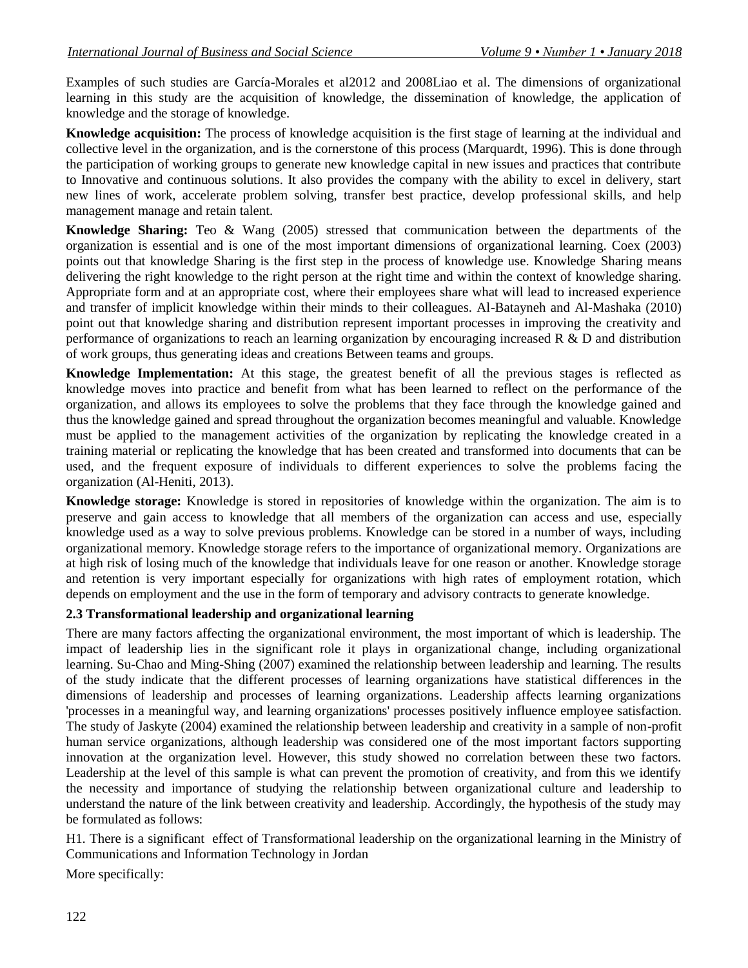Examples of such studies are García-Morales et al2012 and 2008Liao et al. The dimensions of organizational learning in this study are the acquisition of knowledge, the dissemination of knowledge, the application of knowledge and the storage of knowledge.

**Knowledge acquisition:** The process of knowledge acquisition is the first stage of learning at the individual and collective level in the organization, and is the cornerstone of this process (Marquardt, 1996). This is done through the participation of working groups to generate new knowledge capital in new issues and practices that contribute to Innovative and continuous solutions. It also provides the company with the ability to excel in delivery, start new lines of work, accelerate problem solving, transfer best practice, develop professional skills, and help management manage and retain talent.

**Knowledge Sharing:** Teo & Wang (2005) stressed that communication between the departments of the organization is essential and is one of the most important dimensions of organizational learning. Coex (2003) points out that knowledge Sharing is the first step in the process of knowledge use. Knowledge Sharing means delivering the right knowledge to the right person at the right time and within the context of knowledge sharing. Appropriate form and at an appropriate cost, where their employees share what will lead to increased experience and transfer of implicit knowledge within their minds to their colleagues. Al-Batayneh and Al-Mashaka (2010) point out that knowledge sharing and distribution represent important processes in improving the creativity and performance of organizations to reach an learning organization by encouraging increased R & D and distribution of work groups, thus generating ideas and creations Between teams and groups.

**Knowledge Implementation:** At this stage, the greatest benefit of all the previous stages is reflected as knowledge moves into practice and benefit from what has been learned to reflect on the performance of the organization, and allows its employees to solve the problems that they face through the knowledge gained and thus the knowledge gained and spread throughout the organization becomes meaningful and valuable. Knowledge must be applied to the management activities of the organization by replicating the knowledge created in a training material or replicating the knowledge that has been created and transformed into documents that can be used, and the frequent exposure of individuals to different experiences to solve the problems facing the organization (Al-Heniti, 2013).

**Knowledge storage:** Knowledge is stored in repositories of knowledge within the organization. The aim is to preserve and gain access to knowledge that all members of the organization can access and use, especially knowledge used as a way to solve previous problems. Knowledge can be stored in a number of ways, including organizational memory. Knowledge storage refers to the importance of organizational memory. Organizations are at high risk of losing much of the knowledge that individuals leave for one reason or another. Knowledge storage and retention is very important especially for organizations with high rates of employment rotation, which depends on employment and the use in the form of temporary and advisory contracts to generate knowledge.

### **2.3 Transformational leadership and organizational learning**

There are many factors affecting the organizational environment, the most important of which is leadership. The impact of leadership lies in the significant role it plays in organizational change, including organizational learning. Su-Chao and Ming-Shing (2007) examined the relationship between leadership and learning. The results of the study indicate that the different processes of learning organizations have statistical differences in the dimensions of leadership and processes of learning organizations. Leadership affects learning organizations 'processes in a meaningful way, and learning organizations' processes positively influence employee satisfaction. The study of Jaskyte (2004) examined the relationship between leadership and creativity in a sample of non-profit human service organizations, although leadership was considered one of the most important factors supporting innovation at the organization level. However, this study showed no correlation between these two factors. Leadership at the level of this sample is what can prevent the promotion of creativity, and from this we identify the necessity and importance of studying the relationship between organizational culture and leadership to understand the nature of the link between creativity and leadership. Accordingly, the hypothesis of the study may be formulated as follows:

H1. There is a significant effect of Transformational leadership on the organizational learning in the Ministry of Communications and Information Technology in Jordan

More specifically: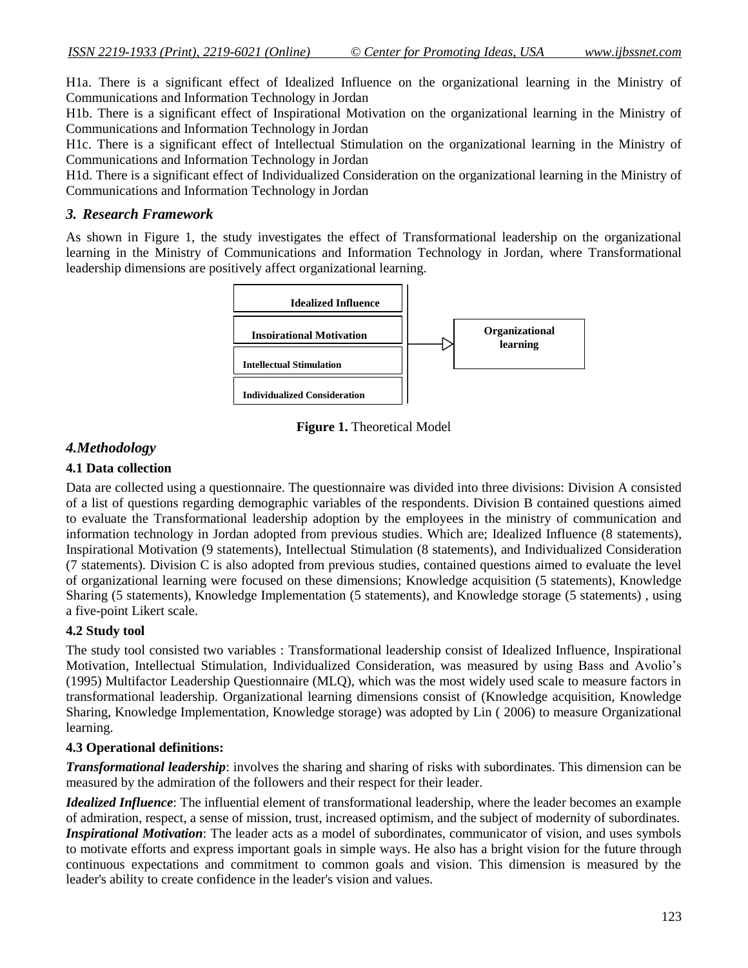H1a. There is a significant effect of Idealized Influence on the organizational learning in the Ministry of Communications and Information Technology in Jordan

H1b. There is a significant effect of Inspirational Motivation on the organizational learning in the Ministry of Communications and Information Technology in Jordan

H1c. There is a significant effect of Intellectual Stimulation on the organizational learning in the Ministry of Communications and Information Technology in Jordan

H1d. There is a significant effect of Individualized Consideration on the organizational learning in the Ministry of Communications and Information Technology in Jordan

#### *3. Research Framework*

As shown in Figure 1, the study investigates the effect of Transformational leadership on the organizational learning in the Ministry of Communications and Information Technology in Jordan, where Transformational leadership dimensions are positively affect organizational learning.



**Figure 1.** Theoretical Model

## *4.Methodology*

### **4.1 Data collection**

Data are collected using a questionnaire. The questionnaire was divided into three divisions: Division A consisted of a list of questions regarding demographic variables of the respondents. Division B contained questions aimed to evaluate the Transformational leadership adoption by the employees in the ministry of communication and information technology in Jordan adopted from previous studies. Which are; Idealized Influence (8 statements), Inspirational Motivation (9 statements), Intellectual Stimulation (8 statements), and Individualized Consideration (7 statements). Division C is also adopted from previous studies, contained questions aimed to evaluate the level of organizational learning were focused on these dimensions; Knowledge acquisition (5 statements), Knowledge Sharing (5 statements), Knowledge Implementation (5 statements), and Knowledge storage (5 statements) , using a five-point Likert scale.

### **4.2 Study tool**

The study tool consisted two variables : Transformational leadership consist of Idealized Influence, Inspirational Motivation, Intellectual Stimulation, Individualized Consideration, was measured by using Bass and Avolio's (1995) Multifactor Leadership Questionnaire (MLQ), which was the most widely used scale to measure factors in transformational leadership. Organizational learning dimensions consist of (Knowledge acquisition, Knowledge Sharing, Knowledge Implementation, Knowledge storage) was adopted by Lin ( 2006) to measure Organizational learning.

### **4.3 Operational definitions:**

*Transformational leadership*: involves the sharing and sharing of risks with subordinates. This dimension can be measured by the admiration of the followers and their respect for their leader.

*Idealized Influence*: The influential element of transformational leadership, where the leader becomes an example of admiration, respect, a sense of mission, trust, increased optimism, and the subject of modernity of subordinates. *Inspirational Motivation*: The leader acts as a model of subordinates, communicator of vision, and uses symbols to motivate efforts and express important goals in simple ways. He also has a bright vision for the future through continuous expectations and commitment to common goals and vision. This dimension is measured by the leader's ability to create confidence in the leader's vision and values.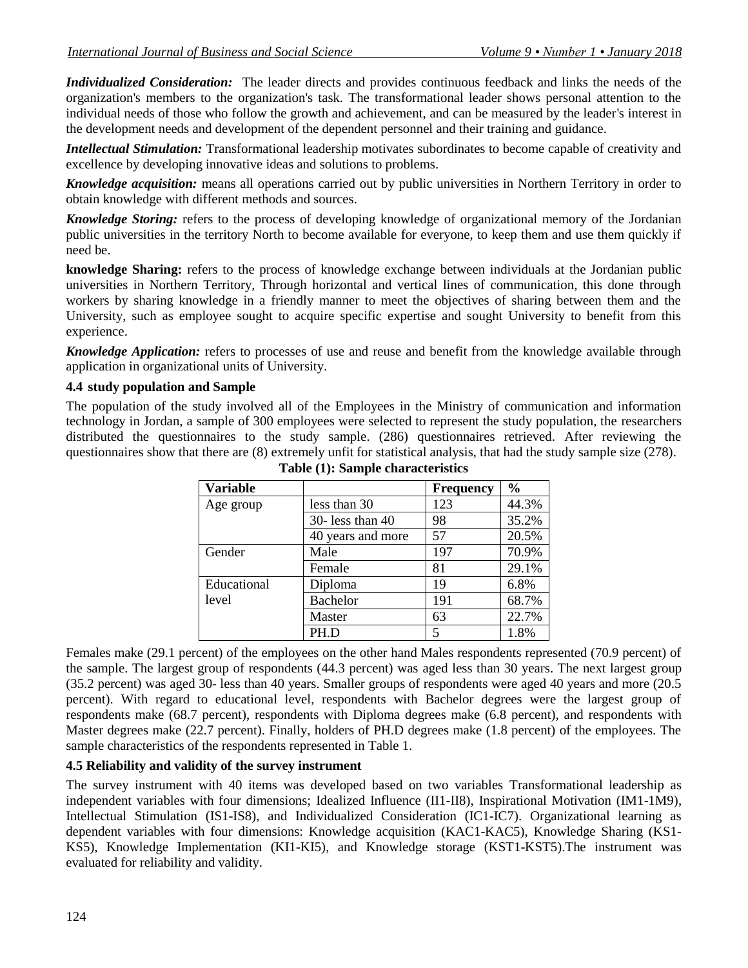*Individualized Consideration:* The leader directs and provides continuous feedback and links the needs of the organization's members to the organization's task. The transformational leader shows personal attention to the individual needs of those who follow the growth and achievement, and can be measured by the leader's interest in the development needs and development of the dependent personnel and their training and guidance.

*Intellectual Stimulation:* Transformational leadership motivates subordinates to become capable of creativity and excellence by developing innovative ideas and solutions to problems.

*Knowledge acquisition:* means all operations carried out by public universities in Northern Territory in order to obtain knowledge with different methods and sources.

*Knowledge Storing:* refers to the process of developing knowledge of organizational memory of the Jordanian public universities in the territory North to become available for everyone, to keep them and use them quickly if need be.

**knowledge Sharing:** refers to the process of knowledge exchange between individuals at the Jordanian public universities in Northern Territory, Through horizontal and vertical lines of communication, this done through workers by sharing knowledge in a friendly manner to meet the objectives of sharing between them and the University, such as employee sought to acquire specific expertise and sought University to benefit from this experience.

*Knowledge Application:* refers to processes of use and reuse and benefit from the knowledge available through application in organizational units of University.

#### **4.4 study population and Sample**

The population of the study involved all of the Employees in the Ministry of communication and information technology in Jordan, a sample of 300 employees were selected to represent the study population, the researchers distributed the questionnaires to the study sample. (286) questionnaires retrieved. After reviewing the questionnaires show that there are (8) extremely unfit for statistical analysis, that had the study sample size (278).

| <b>Variable</b> |                       | <b>Frequency</b> | $\frac{0}{0}$ |
|-----------------|-----------------------|------------------|---------------|
| Age group       | less than 30          | 123              | 44.3%         |
|                 | $30 -$ less than $40$ | 98               | 35.2%         |
|                 | 40 years and more     | 57               | 20.5%         |
| Gender          | Male                  | 197              | 70.9%         |
|                 | Female                | 81               | 29.1%         |
| Educational     | Diploma               | 19               | 6.8%          |
| level           | <b>Bachelor</b>       | 191              | 68.7%         |
|                 | Master                | 63               | 22.7%         |
|                 | PH.D                  | 5                | 1.8%          |

**Table (1): Sample characteristics**

Females make (29.1 percent) of the employees on the other hand Males respondents represented (70.9 percent) of the sample. The largest group of respondents (44.3 percent) was aged less than 30 years. The next largest group (35.2 percent) was aged 30- less than 40 years. Smaller groups of respondents were aged 40 years and more (20.5 percent). With regard to educational level, respondents with Bachelor degrees were the largest group of respondents make (68.7 percent), respondents with Diploma degrees make (6.8 percent), and respondents with Master degrees make (22.7 percent). Finally, holders of PH.D degrees make (1.8 percent) of the employees. The sample characteristics of the respondents represented in Table 1.

#### **4.5 Reliability and validity of the survey instrument**

The survey instrument with 40 items was developed based on two variables Transformational leadership as independent variables with four dimensions; Idealized Influence (II1-II8), Inspirational Motivation (IM1-1M9), Intellectual Stimulation (IS1-IS8), and Individualized Consideration (IC1-IC7). Organizational learning as dependent variables with four dimensions: Knowledge acquisition (KAC1-KAC5), Knowledge Sharing (KS1- KS5), Knowledge Implementation (KI1-KI5), and Knowledge storage (KST1-KST5).The instrument was evaluated for reliability and validity.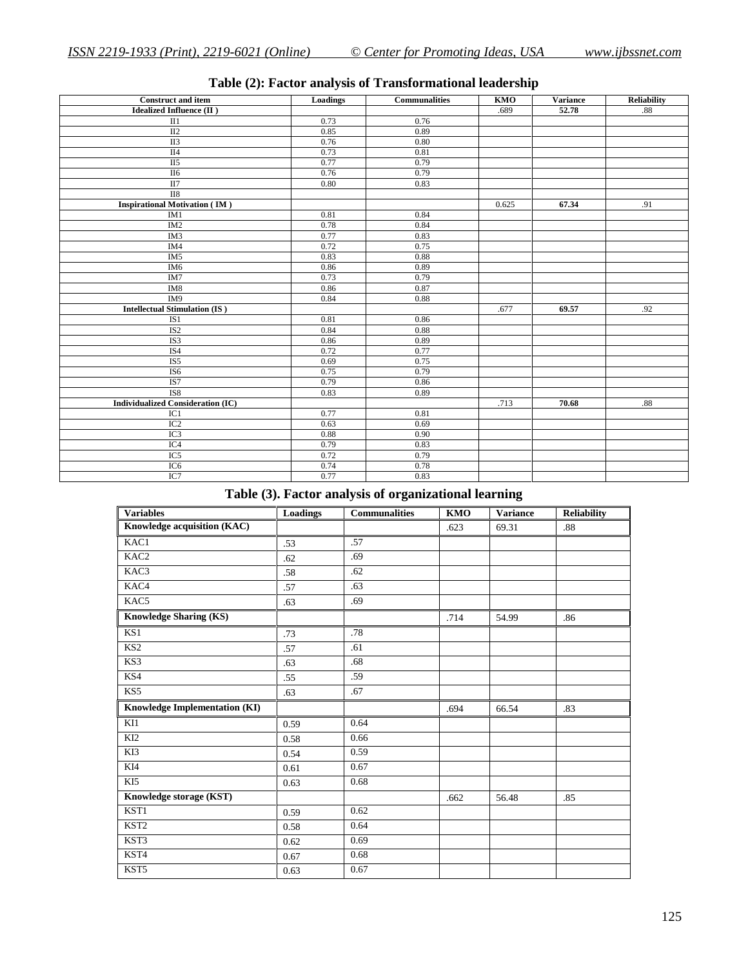| <b>Construct and item</b>                | Loadings | <b>Communalities</b> | KMO   | <b>Variance</b> | <b>Reliability</b> |
|------------------------------------------|----------|----------------------|-------|-----------------|--------------------|
| <b>Idealized Influence (II)</b>          |          |                      | .689  | 52.78           | .88                |
| II1                                      | 0.73     | 0.76                 |       |                 |                    |
| $\overline{II2}$                         | 0.85     | 0.89                 |       |                 |                    |
| <b>II3</b>                               | 0.76     | 0.80                 |       |                 |                    |
| $\overline{II4}$                         | 0.73     | 0.81                 |       |                 |                    |
| II <sub>5</sub>                          | 0.77     | 0.79                 |       |                 |                    |
| $\Pi$ <sup>6</sup>                       | 0.76     | 0.79                 |       |                 |                    |
| II7                                      | $0.80\,$ | 0.83                 |       |                 |                    |
| $\rm II8$                                |          |                      |       |                 |                    |
| <b>Inspirational Motivation (IM)</b>     |          |                      | 0.625 | 67.34           | .91                |
| IM1                                      | 0.81     | 0.84                 |       |                 |                    |
| IM2                                      | 0.78     | 0.84                 |       |                 |                    |
| IM3                                      | 0.77     | 0.83                 |       |                 |                    |
| IM4                                      | 0.72     | 0.75                 |       |                 |                    |
| IM <sub>5</sub>                          | 0.83     | 0.88                 |       |                 |                    |
| IM <sub>6</sub>                          | 0.86     | 0.89                 |       |                 |                    |
| IM7                                      | 0.73     | 0.79                 |       |                 |                    |
| $\rm IM8$                                | 0.86     | 0.87                 |       |                 |                    |
| IM <sub>9</sub>                          | 0.84     | 0.88                 |       |                 |                    |
| <b>Intellectual Stimulation (IS)</b>     |          |                      | .677  | 69.57           | .92                |
| IS1                                      | 0.81     | 0.86                 |       |                 |                    |
| IS <sub>2</sub>                          | 0.84     | 0.88                 |       |                 |                    |
| IS3                                      | 0.86     | 0.89                 |       |                 |                    |
| IS4                                      | 0.72     | 0.77                 |       |                 |                    |
| IS <sub>5</sub>                          | 0.69     | 0.75                 |       |                 |                    |
| IS <sub>6</sub>                          | 0.75     | 0.79                 |       |                 |                    |
| IS7                                      | 0.79     | 0.86                 |       |                 |                    |
| IS8                                      | 0.83     | 0.89                 |       |                 |                    |
| <b>Individualized Consideration (IC)</b> |          |                      | .713  | 70.68           | .88                |
| IC1                                      | 0.77     | 0.81                 |       |                 |                    |
| IC <sub>2</sub>                          | 0.63     | 0.69                 |       |                 |                    |
| IC3                                      | 0.88     | 0.90                 |       |                 |                    |
| IC4                                      | 0.79     | 0.83                 |       |                 |                    |
| IC <sub>5</sub>                          | 0.72     | 0.79                 |       |                 |                    |
| IC <sub>6</sub>                          | 0.74     | 0.78                 |       |                 |                    |
| IC7                                      | 0.77     | 0.83                 |       |                 |                    |

# **Table (2): Factor analysis of Transformational leadership**

# **Table (3). Factor analysis of organizational learning**

| <b>Variables</b>                     | <b>Loadings</b> | <b>Communalities</b> | $\overline{\text{KMO}}$ | <b>Variance</b> | <b>Reliability</b> |
|--------------------------------------|-----------------|----------------------|-------------------------|-----------------|--------------------|
| Knowledge acquisition (KAC)          |                 |                      | .623                    | 69.31           | .88                |
| KAC1                                 | .53             | .57                  |                         |                 |                    |
| KAC2                                 | .62             | .69                  |                         |                 |                    |
| KAC3                                 | .58             | .62                  |                         |                 |                    |
| KAC4                                 | .57             | .63                  |                         |                 |                    |
| KAC5                                 | .63             | .69                  |                         |                 |                    |
| <b>Knowledge Sharing (KS)</b>        |                 |                      | .714                    | 54.99           | .86                |
| KS1                                  | .73             | .78                  |                         |                 |                    |
| KS2                                  | .57             | .61                  |                         |                 |                    |
| KS3                                  | .63             | .68                  |                         |                 |                    |
| KS4                                  | .55             | .59                  |                         |                 |                    |
| KS5                                  | .63             | .67                  |                         |                 |                    |
| <b>Knowledge Implementation (KI)</b> |                 |                      | .694                    | 66.54           | .83                |
| KI1                                  | 0.59            | 0.64                 |                         |                 |                    |
| KI <sub>2</sub>                      | 0.58            | 0.66                 |                         |                 |                    |
| KI3                                  | 0.54            | 0.59                 |                         |                 |                    |
| KI4                                  | 0.61            | 0.67                 |                         |                 |                    |
| KI5                                  | 0.63            | 0.68                 |                         |                 |                    |
| Knowledge storage (KST)              |                 |                      | .662                    | 56.48           | .85                |
| KST1                                 | 0.59            | 0.62                 |                         |                 |                    |
| KST <sub>2</sub>                     | 0.58            | 0.64                 |                         |                 |                    |
| KST3                                 | 0.62            | 0.69                 |                         |                 |                    |
| KST4                                 | 0.67            | 0.68                 |                         |                 |                    |
| KST5                                 | 0.63            | 0.67                 |                         |                 |                    |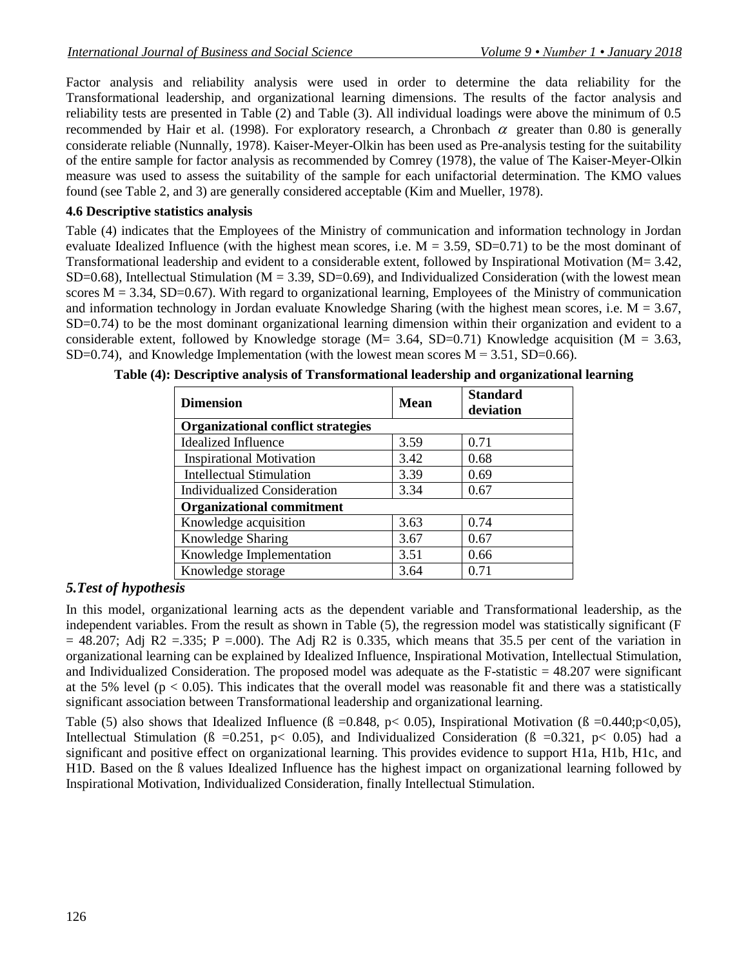Factor analysis and reliability analysis were used in order to determine the data reliability for the Transformational leadership, and organizational learning dimensions. The results of the factor analysis and reliability tests are presented in Table (2) and Table (3). All individual loadings were above the minimum of 0.5 recommended by Hair et al. (1998). For exploratory research, a Chronbach  $\alpha$  greater than 0.80 is generally considerate reliable (Nunnally, 1978). Kaiser-Meyer-Olkin has been used as Pre-analysis testing for the suitability of the entire sample for factor analysis as recommended by Comrey (1978), the value of The Kaiser-Meyer-Olkin measure was used to assess the suitability of the sample for each unifactorial determination. The KMO values found (see Table 2, and 3) are generally considered acceptable (Kim and Mueller, 1978).

## **4.6 Descriptive statistics analysis**

Table (4) indicates that the Employees of the Ministry of communication and information technology in Jordan evaluate Idealized Influence (with the highest mean scores, i.e.  $M = 3.59$ , SD=0.71) to be the most dominant of Transformational leadership and evident to a considerable extent, followed by Inspirational Motivation (M= 3.42, SD=0.68), Intellectual Stimulation ( $M = 3.39$ , SD=0.69), and Individualized Consideration (with the lowest mean scores  $M = 3.34$ , SD=0.67). With regard to organizational learning, Employees of the Ministry of communication and information technology in Jordan evaluate Knowledge Sharing (with the highest mean scores, i.e.  $M = 3.67$ , SD=0.74) to be the most dominant organizational learning dimension within their organization and evident to a considerable extent, followed by Knowledge storage (M= 3.64, SD=0.71) Knowledge acquisition (M = 3.63, SD=0.74), and Knowledge Implementation (with the lowest mean scores  $M = 3.51$ , SD=0.66).

| <b>Dimension</b>                          | Mean | <b>Standard</b><br>deviation |  |  |  |  |
|-------------------------------------------|------|------------------------------|--|--|--|--|
| <b>Organizational conflict strategies</b> |      |                              |  |  |  |  |
| <b>Idealized Influence</b>                | 3.59 | 0.71                         |  |  |  |  |
| <b>Inspirational Motivation</b>           | 3.42 | 0.68                         |  |  |  |  |
| <b>Intellectual Stimulation</b>           | 3.39 | 0.69                         |  |  |  |  |
| <b>Individualized Consideration</b>       | 3.34 | 0.67                         |  |  |  |  |
| <b>Organizational commitment</b>          |      |                              |  |  |  |  |
| Knowledge acquisition                     | 3.63 | 0.74                         |  |  |  |  |
| Knowledge Sharing                         | 3.67 | 0.67                         |  |  |  |  |
| Knowledge Implementation                  | 3.51 | 0.66                         |  |  |  |  |
| Knowledge storage                         | 3.64 | 0.71                         |  |  |  |  |

**Table (4): Descriptive analysis of Transformational leadership and organizational learning**

# *5.Test of hypothesis*

In this model, organizational learning acts as the dependent variable and Transformational leadership, as the independent variables. From the result as shown in Table (5), the regression model was statistically significant (F  $= 48.207$ ; Adj R2 = 335; P = 000). The Adj R2 is 0.335, which means that 35.5 per cent of the variation in organizational learning can be explained by Idealized Influence, Inspirational Motivation, Intellectual Stimulation, and Individualized Consideration. The proposed model was adequate as the F-statistic  $= 48.207$  were significant at the 5% level ( $p < 0.05$ ). This indicates that the overall model was reasonable fit and there was a statistically significant association between Transformational leadership and organizational learning.

Table (5) also shows that Idealized Influence ( $\beta = 0.848$ , p $\lt 0.05$ ), Inspirational Motivation ( $\beta = 0.440; p \lt 0.05$ ), Intellectual Stimulation ( $\beta = 0.251$ ,  $p < 0.05$ ), and Individualized Consideration ( $\beta = 0.321$ ,  $p < 0.05$ ) had a significant and positive effect on organizational learning. This provides evidence to support H1a, H1b, H1c, and H1D. Based on the ß values Idealized Influence has the highest impact on organizational learning followed by Inspirational Motivation, Individualized Consideration, finally Intellectual Stimulation.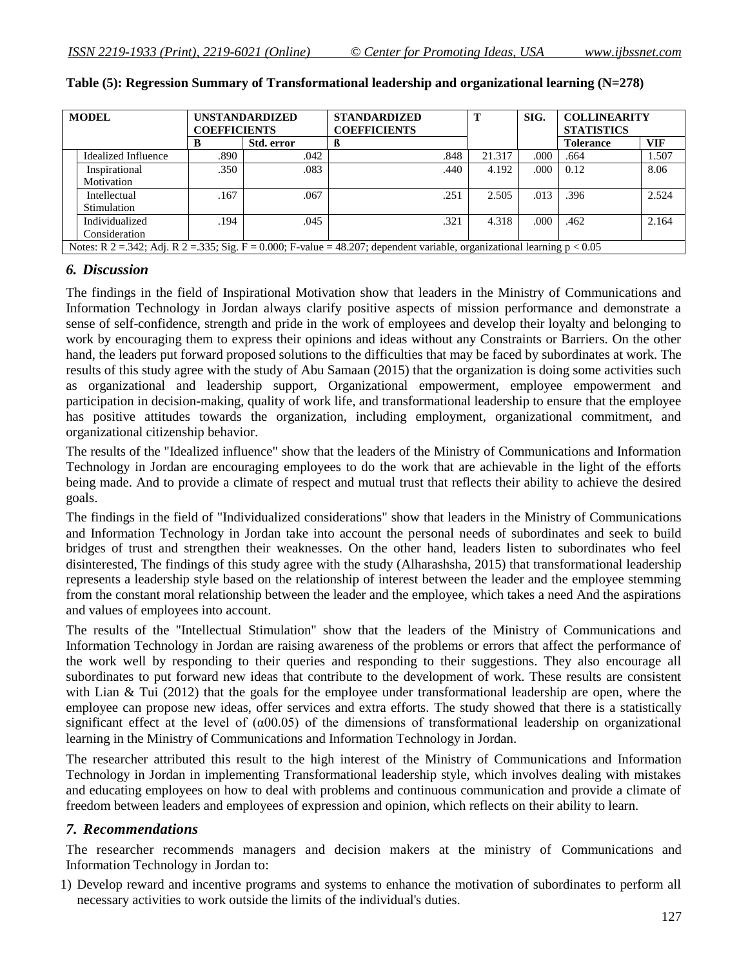| <b>MODEL</b> |                                                                                                                                | <b>UNSTANDARDIZED</b> |            | <b>STANDARDIZED</b> | т      | SIG.  | <b>COLLINEARITY</b> |            |
|--------------|--------------------------------------------------------------------------------------------------------------------------------|-----------------------|------------|---------------------|--------|-------|---------------------|------------|
|              |                                                                                                                                | <b>COEFFICIENTS</b>   |            | <b>COEFFICIENTS</b> |        |       | <b>STATISTICS</b>   |            |
|              |                                                                                                                                | B                     | Std. error |                     |        |       | Tolerance           | <b>VIF</b> |
|              | Idealized Influence                                                                                                            | .890                  | .042       | .848                | 21.317 | .000  | .664                | 1.507      |
|              | Inspirational                                                                                                                  | .350                  | .083       | .440                | 4.192  | .000. | 0.12                | 8.06       |
|              | Motivation                                                                                                                     |                       |            |                     |        |       |                     |            |
|              | Intellectual                                                                                                                   | .167                  | .067       | .251                | 2.505  | .013  | .396                | 2.524      |
|              | Stimulation                                                                                                                    |                       |            |                     |        |       |                     |            |
|              | Individualized                                                                                                                 | .194                  | .045       | .321                | 4.318  | .000  | .462                | 2.164      |
|              | Consideration                                                                                                                  |                       |            |                     |        |       |                     |            |
|              | Notes: R $2 = 342$ ; Adj. R $2 = 335$ ; Sig. F = 0.000; F-value = 48.207; dependent variable, organizational learning p < 0.05 |                       |            |                     |        |       |                     |            |

#### **Table (5): Regression Summary of Transformational leadership and organizational learning (N=278)**

### *6. Discussion*

The findings in the field of Inspirational Motivation show that leaders in the Ministry of Communications and Information Technology in Jordan always clarify positive aspects of mission performance and demonstrate a sense of self-confidence, strength and pride in the work of employees and develop their loyalty and belonging to work by encouraging them to express their opinions and ideas without any Constraints or Barriers. On the other hand, the leaders put forward proposed solutions to the difficulties that may be faced by subordinates at work. The results of this study agree with the study of Abu Samaan (2015) that the organization is doing some activities such as organizational and leadership support, Organizational empowerment, employee empowerment and participation in decision-making, quality of work life, and transformational leadership to ensure that the employee has positive attitudes towards the organization, including employment, organizational commitment, and organizational citizenship behavior.

The results of the "Idealized influence" show that the leaders of the Ministry of Communications and Information Technology in Jordan are encouraging employees to do the work that are achievable in the light of the efforts being made. And to provide a climate of respect and mutual trust that reflects their ability to achieve the desired goals.

The findings in the field of "Individualized considerations" show that leaders in the Ministry of Communications and Information Technology in Jordan take into account the personal needs of subordinates and seek to build bridges of trust and strengthen their weaknesses. On the other hand, leaders listen to subordinates who feel disinterested, The findings of this study agree with the study (Alharashsha, 2015) that transformational leadership represents a leadership style based on the relationship of interest between the leader and the employee stemming from the constant moral relationship between the leader and the employee, which takes a need And the aspirations and values of employees into account.

The results of the "Intellectual Stimulation" show that the leaders of the Ministry of Communications and Information Technology in Jordan are raising awareness of the problems or errors that affect the performance of the work well by responding to their queries and responding to their suggestions. They also encourage all subordinates to put forward new ideas that contribute to the development of work. These results are consistent with Lian & Tui (2012) that the goals for the employee under transformational leadership are open, where the employee can propose new ideas, offer services and extra efforts. The study showed that there is a statistically significant effect at the level of  $(\alpha 00.05)$  of the dimensions of transformational leadership on organizational learning in the Ministry of Communications and Information Technology in Jordan.

The researcher attributed this result to the high interest of the Ministry of Communications and Information Technology in Jordan in implementing Transformational leadership style, which involves dealing with mistakes and educating employees on how to deal with problems and continuous communication and provide a climate of freedom between leaders and employees of expression and opinion, which reflects on their ability to learn.

### *7. Recommendations*

The researcher recommends managers and decision makers at the ministry of Communications and Information Technology in Jordan to:

1) Develop reward and incentive programs and systems to enhance the motivation of subordinates to perform all necessary activities to work outside the limits of the individual's duties.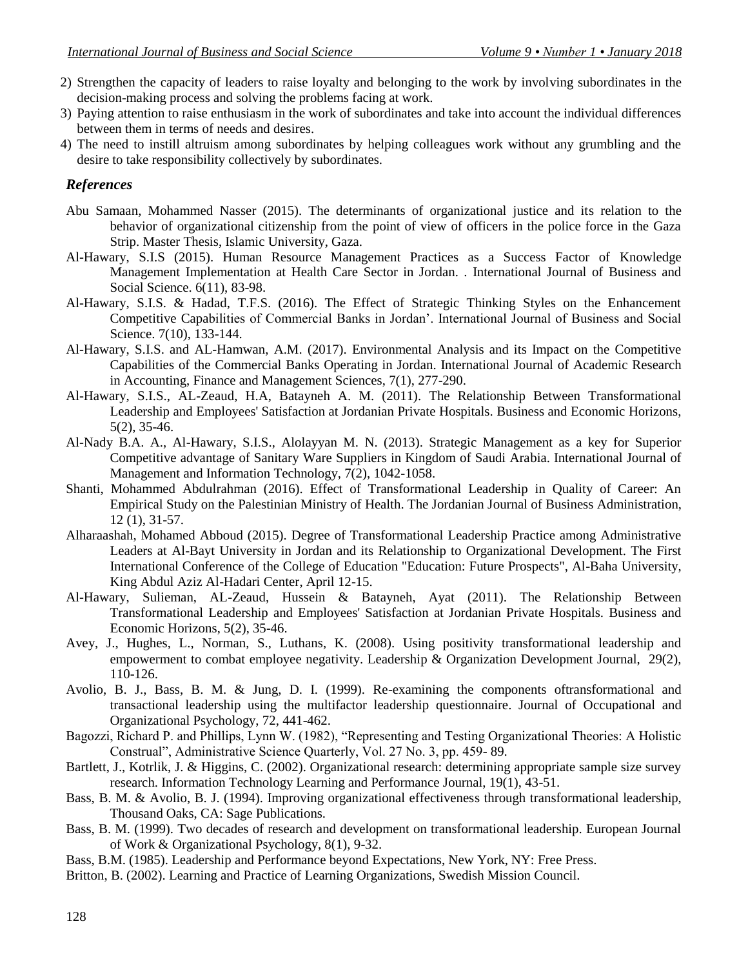- 2) Strengthen the capacity of leaders to raise loyalty and belonging to the work by involving subordinates in the decision-making process and solving the problems facing at work.
- 3) Paying attention to raise enthusiasm in the work of subordinates and take into account the individual differences between them in terms of needs and desires.
- 4) The need to instill altruism among subordinates by helping colleagues work without any grumbling and the desire to take responsibility collectively by subordinates.

#### *References*

- Abu Samaan, Mohammed Nasser (2015). The determinants of organizational justice and its relation to the behavior of organizational citizenship from the point of view of officers in the police force in the Gaza Strip. Master Thesis, Islamic University, Gaza.
- Al-Hawary, S.I.S (2015). Human Resource Management Practices as a Success Factor of Knowledge Management Implementation at Health Care Sector in Jordan. . International Journal of Business and Social Science. 6(11), 83-98.
- Al-Hawary, S.I.S. & Hadad, T.F.S. (2016). The Effect of Strategic Thinking Styles on the Enhancement Competitive Capabilities of Commercial Banks in Jordan'. International Journal of Business and Social Science. 7(10), 133-144.
- Al-Hawary, S.I.S. and AL-Hamwan, A.M. (2017). Environmental Analysis and its Impact on the Competitive Capabilities of the Commercial Banks Operating in Jordan. International Journal of Academic Research in Accounting, Finance and Management Sciences, 7(1), 277-290.
- Al-Hawary, S.I.S., AL-Zeaud, H.A, Batayneh A. M. (2011). The Relationship Between Transformational Leadership and Employees' Satisfaction at Jordanian Private Hospitals. Business and Economic Horizons, 5(2), 35-46.
- Al-Nady B.A. A., Al-Hawary, S.I.S., Alolayyan M. N. (2013). Strategic Management as a key for Superior Competitive advantage of Sanitary Ware Suppliers in Kingdom of Saudi Arabia. International Journal of Management and Information Technology, 7(2), 1042-1058.
- Shanti, Mohammed Abdulrahman (2016). Effect of Transformational Leadership in Quality of Career: An Empirical Study on the Palestinian Ministry of Health. The Jordanian Journal of Business Administration, 12 (1), 31-57.
- Alharaashah, Mohamed Abboud (2015). Degree of Transformational Leadership Practice among Administrative Leaders at Al-Bayt University in Jordan and its Relationship to Organizational Development. The First International Conference of the College of Education "Education: Future Prospects", Al-Baha University, King Abdul Aziz Al-Hadari Center, April 12-15.
- Al-Hawary, Sulieman, AL-Zeaud, Hussein & Batayneh, Ayat (2011). The Relationship Between Transformational Leadership and Employees' Satisfaction at Jordanian Private Hospitals. Business and Economic Horizons, 5(2), 35-46.
- Avey, J., Hughes, L., Norman, S., Luthans, K. (2008). Using positivity transformational leadership and empowerment to combat employee negativity. Leadership & Organization Development Journal, 29(2), 110-126.
- Avolio, B. J., Bass, B. M. & Jung, D. I. (1999). Re-examining the components oftransformational and transactional leadership using the multifactor leadership questionnaire. Journal of Occupational and Organizational Psychology, 72, 441-462.
- Bagozzi, Richard P. and Phillips, Lynn W. (1982), "Representing and Testing Organizational Theories: A Holistic Construal", Administrative Science Quarterly, Vol. 27 No. 3, pp. 459- 89.
- Bartlett, J., Kotrlik, J. & Higgins, C. (2002). Organizational research: determining appropriate sample size survey research. Information Technology Learning and Performance Journal, 19(1), 43-51.
- Bass, B. M. & Avolio, B. J. (1994). Improving organizational effectiveness through transformational leadership, Thousand Oaks, CA: Sage Publications.
- Bass, B. M. (1999). Two decades of research and development on transformational leadership. European Journal of Work & Organizational Psychology, 8(1), 9-32.
- Bass, B.M. (1985). Leadership and Performance beyond Expectations, New York, NY: Free Press.
- Britton, B. (2002). Learning and Practice of Learning Organizations, Swedish Mission Council.